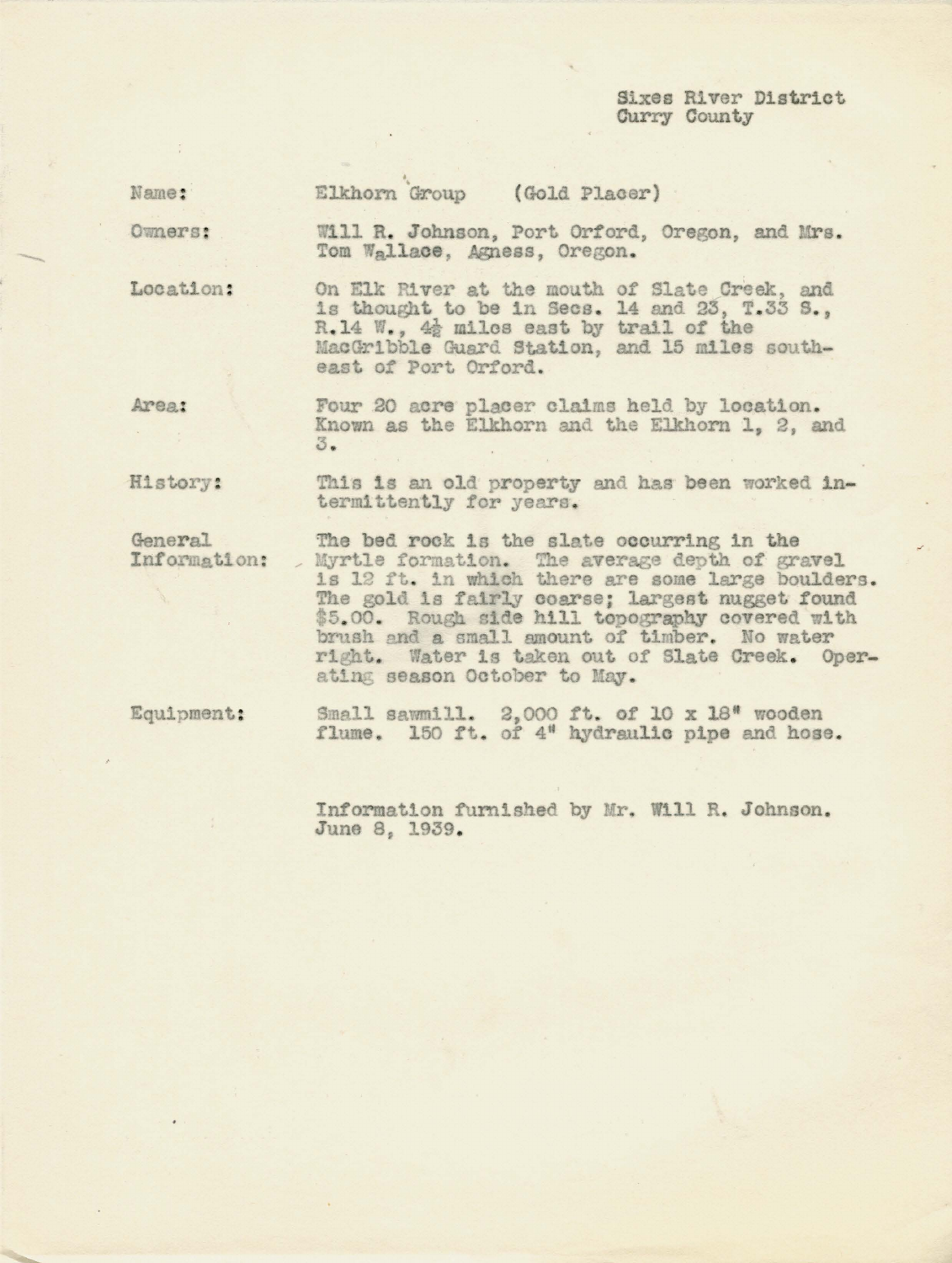Sixes River District Curry County

| Name: | Elkhorn Group |  |  | (Gold Placer) |  |
|-------|---------------|--|--|---------------|--|
|-------|---------------|--|--|---------------|--|

Owners:

Will R. Johnson, Port Orford, Oregon, and Mrs. Tom Wallace, Agness, Oregon.

On Elk River at the mouth of Slate Creek, and Location: is thought to be in Secs. 14 and 23, T.33 S., R.14 W., 42 miles east by trail of the MacGribble Guard Station, and 15 miles southeast of Port Orford.

Area: Four 20 acre placer claims held by location. Known as the Elkhorn and the Elkhorn 1, 2, and 3.

This is an old property and has been worked in-History: termittently for years.

General The bed rock is the slate occurring in the Myrtle formation. The average depth of gravel is 12 ft. in which there are some large boulders. Information:  $\overline{a}$ The gold is fairly coarse; largest nugget found \$5.00. Rough side hill topography covered with brush and a small amount of timber. No water right. Water is taken out of Slate Creek. Operating season October to May.

Equipment:

Small sawmill. 2,000 ft. of 10 x 18" wooden flume. 150 ft. of 4" hydraulic pipe and hose.

Information furnished by Mr. Will R. Johnson. June 8, 1939.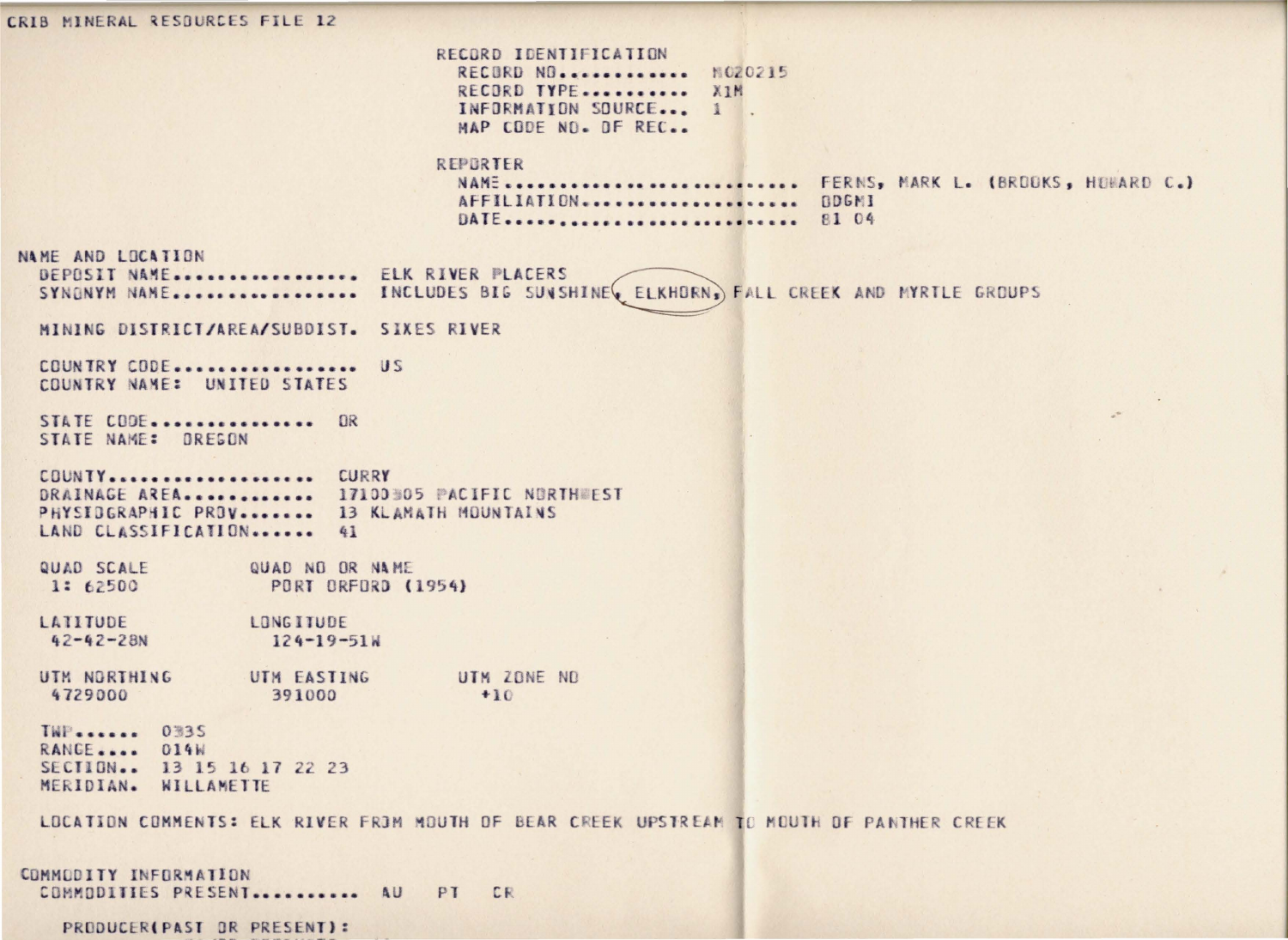CRIB MINERAL RESOURCES FILE 12 RECORD IDENTIFICATION RECURD NO............. N020215 RECORD TYPE........... XIM INFORMATION SOURCE... 1 MAP CODE NO. DF REC.. REPORTER NAME ............................. FERNS, MARK L. (BROOKS, HOMARD C.) AFFILIATION..................... ODGMI DATE.............................. 81 04 NAME AND LOCATION DEPOSIT NAME................. ELK RIVER PLACERS SYNONYM NAME................. INCLUDES BIG SUNSHINE ELKHORN, FALL CREEK AND MYRTLE GROUPS MINING DISTRICT/AREA/SUBDIST. SIXES RIVER COUNTRY CODE.................. US COUNTRY NAME: UNITED STATES STATE CODE................ OR STATE NAME: OREGON COUNTY.................... CURRY DRAINAGE AREA............. 17100305 PACIFIC NORTHWEST PHYSIDGRAPHIC PROV....... 13 KLAMATH MOUNTAINS LAND CLASSIFICATION...... 41 QUAD SCALE QUAD NO OR NAME 1: 62500 **PORT ORFORD (1954)** LATITUDE LONGITUDE  $42 - 42 - 28N$  $124 - 19 - 51W$ UTM NORTHING UTM EASTING UTM ZONE NO  $+10$ 4729000 391000 **TWP....... 0335** RANGE.... 014W SECTION.. 13 15 16 17 22 23 MERIDIAN. WILLAMETTE LOCATION COMMENTS: ELK RIVER FROM MOUTH OF BEAR CREEK UPSTREAM TO MOUTH OF PANTHER CREEK COMMODITY INFORMATION COMMODITIES PRESENT........... AU PT CR

PRODUCER(PAST OR PRESENT):